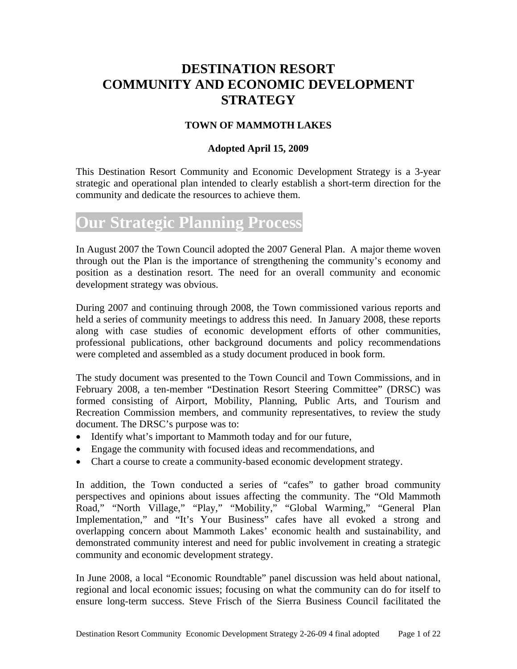## **DESTINATION RESORT COMMUNITY AND ECONOMIC DEVELOPMENT STRATEGY**

## **TOWN OF MAMMOTH LAKES**

## **Adopted April 15, 2009**

This Destination Resort Community and Economic Development Strategy is a 3-year strategic and operational plan intended to clearly establish a short-term direction for the community and dedicate the resources to achieve them.

# **Our Strategic Planning Process**

In August 2007 the Town Council adopted the 2007 General Plan. A major theme woven through out the Plan is the importance of strengthening the community's economy and position as a destination resort. The need for an overall community and economic development strategy was obvious.

During 2007 and continuing through 2008, the Town commissioned various reports and held a series of community meetings to address this need. In January 2008, these reports along with case studies of economic development efforts of other communities, professional publications, other background documents and policy recommendations were completed and assembled as a study document produced in book form.

The study document was presented to the Town Council and Town Commissions, and in February 2008, a ten-member "Destination Resort Steering Committee" (DRSC) was formed consisting of Airport, Mobility, Planning, Public Arts, and Tourism and Recreation Commission members, and community representatives, to review the study document. The DRSC's purpose was to:

- Identify what's important to Mammoth today and for our future,
- Engage the community with focused ideas and recommendations, and
- Chart a course to create a community-based economic development strategy.

In addition, the Town conducted a series of "cafes" to gather broad community perspectives and opinions about issues affecting the community. The "Old Mammoth Road," "North Village," "Play," "Mobility," "Global Warming," "General Plan Implementation," and "It's Your Business" cafes have all evoked a strong and overlapping concern about Mammoth Lakes' economic health and sustainability, and demonstrated community interest and need for public involvement in creating a strategic community and economic development strategy.

In June 2008, a local "Economic Roundtable" panel discussion was held about national, regional and local economic issues; focusing on what the community can do for itself to ensure long-term success. Steve Frisch of the Sierra Business Council facilitated the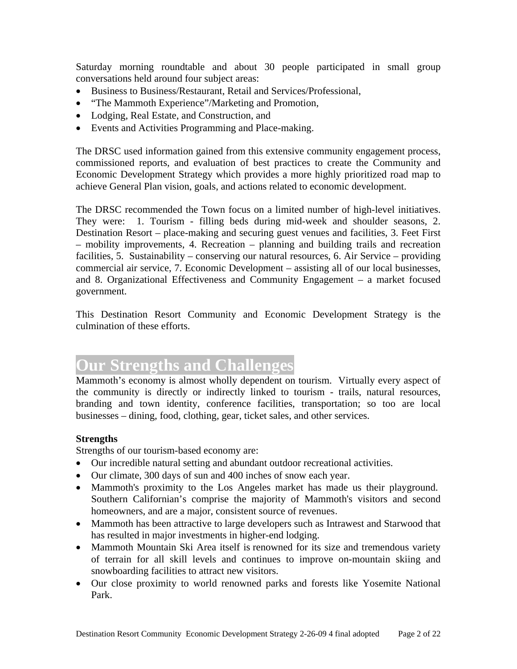Saturday morning roundtable and about 30 people participated in small group conversations held around four subject areas:

- Business to Business/Restaurant, Retail and Services/Professional,
- "The Mammoth Experience"/Marketing and Promotion,
- Lodging, Real Estate, and Construction, and
- Events and Activities Programming and Place-making.

The DRSC used information gained from this extensive community engagement process, commissioned reports, and evaluation of best practices to create the Community and Economic Development Strategy which provides a more highly prioritized road map to achieve General Plan vision, goals, and actions related to economic development.

The DRSC recommended the Town focus on a limited number of high-level initiatives. They were: 1. Tourism - filling beds during mid-week and shoulder seasons, 2. Destination Resort – place-making and securing guest venues and facilities, 3. Feet First – mobility improvements, 4. Recreation – planning and building trails and recreation facilities, 5. Sustainability – conserving our natural resources, 6. Air Service – providing commercial air service, 7. Economic Development – assisting all of our local businesses, and 8. Organizational Effectiveness and Community Engagement – a market focused government.

This Destination Resort Community and Economic Development Strategy is the culmination of these efforts.

# **Our Strengths and Challenges**

Mammoth's economy is almost wholly dependent on tourism. Virtually every aspect of the community is directly or indirectly linked to tourism - trails, natural resources, branding and town identity, conference facilities, transportation; so too are local businesses – dining, food, clothing, gear, ticket sales, and other services.

## **Strengths**

Strengths of our tourism-based economy are:

- Our incredible natural setting and abundant outdoor recreational activities.
- Our climate, 300 days of sun and 400 inches of snow each year.
- Mammoth's proximity to the Los Angeles market has made us their playground. Southern Californian's comprise the majority of Mammoth's visitors and second homeowners, and are a major, consistent source of revenues.
- Mammoth has been attractive to large developers such as Intrawest and Starwood that has resulted in major investments in higher-end lodging.
- Mammoth Mountain Ski Area itself is renowned for its size and tremendous variety of terrain for all skill levels and continues to improve on-mountain skiing and snowboarding facilities to attract new visitors.
- Our close proximity to world renowned parks and forests like Yosemite National Park.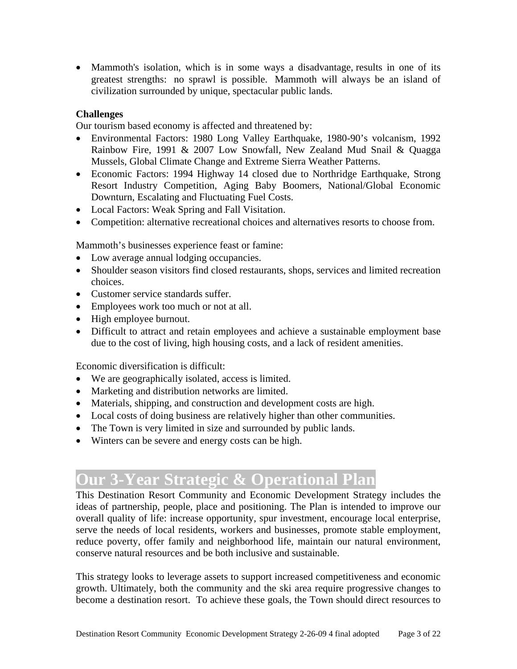• Mammoth's isolation, which is in some ways a disadvantage, results in one of its greatest strengths: no sprawl is possible. Mammoth will always be an island of civilization surrounded by unique, spectacular public lands.

## **Challenges**

Our tourism based economy is affected and threatened by:

- Environmental Factors: 1980 Long Valley Earthquake, 1980-90's volcanism, 1992 Rainbow Fire, 1991 & 2007 Low Snowfall, New Zealand Mud Snail & Quagga Mussels, Global Climate Change and Extreme Sierra Weather Patterns.
- Economic Factors: 1994 Highway 14 closed due to Northridge Earthquake, Strong Resort Industry Competition, Aging Baby Boomers, National/Global Economic Downturn, Escalating and Fluctuating Fuel Costs.
- Local Factors: Weak Spring and Fall Visitation.
- Competition: alternative recreational choices and alternatives resorts to choose from.

Mammoth's businesses experience feast or famine:

- Low average annual lodging occupancies.
- Shoulder season visitors find closed restaurants, shops, services and limited recreation choices.
- Customer service standards suffer.
- Employees work too much or not at all.
- High employee burnout.
- Difficult to attract and retain employees and achieve a sustainable employment base due to the cost of living, high housing costs, and a lack of resident amenities.

Economic diversification is difficult:

- We are geographically isolated, access is limited.
- Marketing and distribution networks are limited.
- Materials, shipping, and construction and development costs are high.
- Local costs of doing business are relatively higher than other communities.
- The Town is very limited in size and surrounded by public lands.
- Winters can be severe and energy costs can be high.

# **Our 3-Year Strategic & Operational Plan**

This Destination Resort Community and Economic Development Strategy includes the ideas of partnership, people, place and positioning. The Plan is intended to improve our overall quality of life: increase opportunity, spur investment, encourage local enterprise, serve the needs of local residents, workers and businesses, promote stable employment, reduce poverty, offer family and neighborhood life, maintain our natural environment, conserve natural resources and be both inclusive and sustainable.

This strategy looks to leverage assets to support increased competitiveness and economic growth. Ultimately, both the community and the ski area require progressive changes to become a destination resort. To achieve these goals, the Town should direct resources to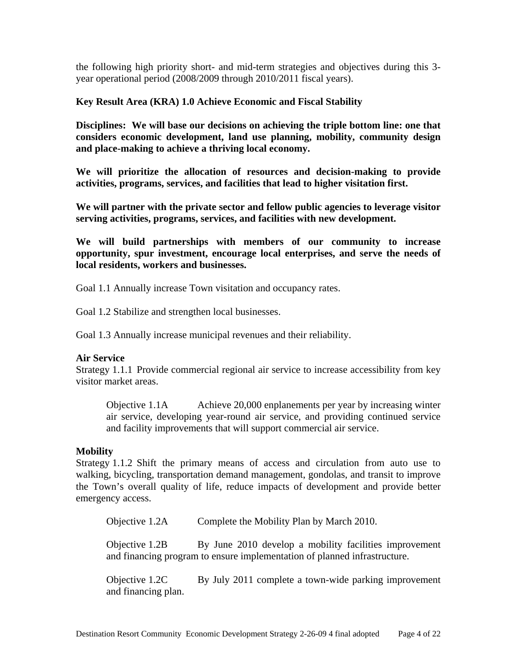the following high priority short- and mid-term strategies and objectives during this 3 year operational period (2008/2009 through 2010/2011 fiscal years).

## **Key Result Area (KRA) 1.0 Achieve Economic and Fiscal Stability**

**Disciplines: We will base our decisions on achieving the triple bottom line: one that considers economic development, land use planning, mobility, community design and place-making to achieve a thriving local economy.** 

**We will prioritize the allocation of resources and decision-making to provide activities, programs, services, and facilities that lead to higher visitation first.** 

**We will partner with the private sector and fellow public agencies to leverage visitor serving activities, programs, services, and facilities with new development.** 

**We will build partnerships with members of our community to increase opportunity, spur investment, encourage local enterprises, and serve the needs of local residents, workers and businesses.** 

Goal 1.1 Annually increase Town visitation and occupancy rates.

Goal 1.2 Stabilize and strengthen local businesses.

Goal 1.3 Annually increase municipal revenues and their reliability.

## **Air Service**

Strategy 1.1.1 Provide commercial regional air service to increase accessibility from key visitor market areas.

Objective 1.1A Achieve 20,000 enplanements per year by increasing winter air service, developing year-round air service, and providing continued service and facility improvements that will support commercial air service.

#### **Mobility**

Strategy 1.1.2 Shift the primary means of access and circulation from auto use to walking, bicycling, transportation demand management, gondolas, and transit to improve the Town's overall quality of life, reduce impacts of development and provide better emergency access.

Objective 1.2A Complete the Mobility Plan by March 2010.

Objective 1.2B By June 2010 develop a mobility facilities improvement and financing program to ensure implementation of planned infrastructure.

Objective 1.2C By July 2011 complete a town-wide parking improvement and financing plan.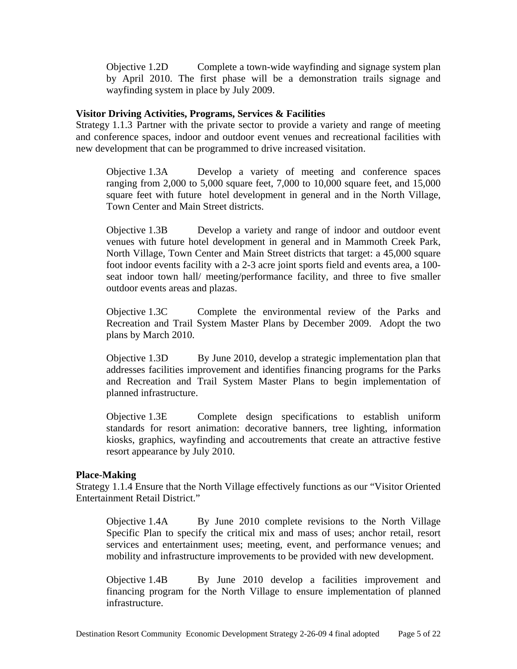Objective 1.2D Complete a town-wide wayfinding and signage system plan by April 2010. The first phase will be a demonstration trails signage and wayfinding system in place by July 2009.

## **Visitor Driving Activities, Programs, Services & Facilities**

Strategy 1.1.3 Partner with the private sector to provide a variety and range of meeting and conference spaces, indoor and outdoor event venues and recreational facilities with new development that can be programmed to drive increased visitation.

Objective 1.3A Develop a variety of meeting and conference spaces ranging from 2,000 to 5,000 square feet, 7,000 to 10,000 square feet, and 15,000 square feet with future hotel development in general and in the North Village, Town Center and Main Street districts.

Objective 1.3B Develop a variety and range of indoor and outdoor event venues with future hotel development in general and in Mammoth Creek Park, North Village, Town Center and Main Street districts that target: a 45,000 square foot indoor events facility with a 2-3 acre joint sports field and events area, a 100 seat indoor town hall/ meeting/performance facility, and three to five smaller outdoor events areas and plazas.

Objective 1.3C Complete the environmental review of the Parks and Recreation and Trail System Master Plans by December 2009. Adopt the two plans by March 2010.

Objective 1.3D By June 2010, develop a strategic implementation plan that addresses facilities improvement and identifies financing programs for the Parks and Recreation and Trail System Master Plans to begin implementation of planned infrastructure.

Objective 1.3E Complete design specifications to establish uniform standards for resort animation: decorative banners, tree lighting, information kiosks, graphics, wayfinding and accoutrements that create an attractive festive resort appearance by July 2010.

#### **Place-Making**

Strategy 1.1.4 Ensure that the North Village effectively functions as our "Visitor Oriented Entertainment Retail District."

Objective 1.4A By June 2010 complete revisions to the North Village Specific Plan to specify the critical mix and mass of uses; anchor retail, resort services and entertainment uses; meeting, event, and performance venues; and mobility and infrastructure improvements to be provided with new development.

Objective 1.4B By June 2010 develop a facilities improvement and financing program for the North Village to ensure implementation of planned infrastructure.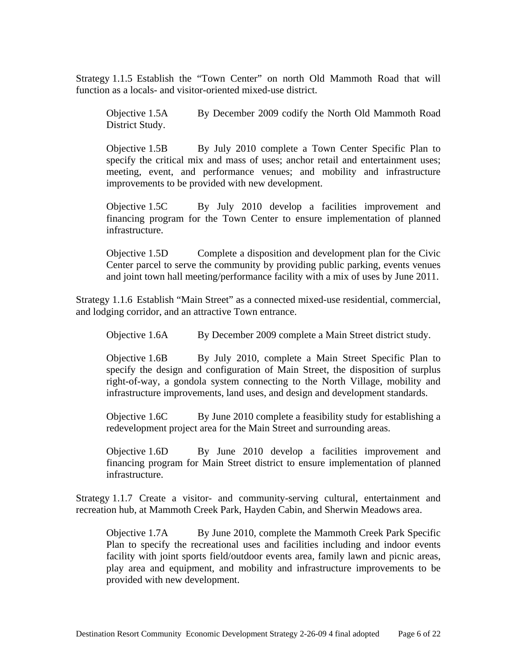Strategy 1.1.5 Establish the "Town Center" on north Old Mammoth Road that will function as a locals- and visitor-oriented mixed-use district.

Objective 1.5A By December 2009 codify the North Old Mammoth Road District Study.

Objective 1.5B By July 2010 complete a Town Center Specific Plan to specify the critical mix and mass of uses; anchor retail and entertainment uses; meeting, event, and performance venues; and mobility and infrastructure improvements to be provided with new development.

Objective 1.5C By July 2010 develop a facilities improvement and financing program for the Town Center to ensure implementation of planned infrastructure.

Objective 1.5D Complete a disposition and development plan for the Civic Center parcel to serve the community by providing public parking, events venues and joint town hall meeting/performance facility with a mix of uses by June 2011.

Strategy 1.1.6 Establish "Main Street" as a connected mixed-use residential, commercial, and lodging corridor, and an attractive Town entrance.

Objective 1.6A By December 2009 complete a Main Street district study.

Objective 1.6B By July 2010, complete a Main Street Specific Plan to specify the design and configuration of Main Street, the disposition of surplus right-of-way, a gondola system connecting to the North Village, mobility and infrastructure improvements, land uses, and design and development standards.

Objective 1.6C By June 2010 complete a feasibility study for establishing a redevelopment project area for the Main Street and surrounding areas.

Objective 1.6D By June 2010 develop a facilities improvement and financing program for Main Street district to ensure implementation of planned infrastructure.

Strategy 1.1.7 Create a visitor- and community-serving cultural, entertainment and recreation hub, at Mammoth Creek Park, Hayden Cabin, and Sherwin Meadows area.

Objective 1.7A By June 2010, complete the Mammoth Creek Park Specific Plan to specify the recreational uses and facilities including and indoor events facility with joint sports field/outdoor events area, family lawn and picnic areas, play area and equipment, and mobility and infrastructure improvements to be provided with new development.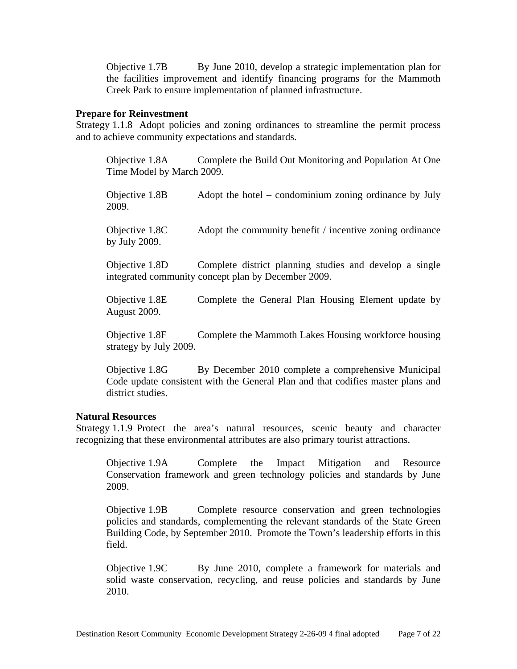Objective 1.7B By June 2010, develop a strategic implementation plan for the facilities improvement and identify financing programs for the Mammoth Creek Park to ensure implementation of planned infrastructure.

#### **Prepare for Reinvestment**

Strategy 1.1.8 Adopt policies and zoning ordinances to streamline the permit process and to achieve community expectations and standards.

Objective 1.8A Complete the Build Out Monitoring and Population At One Time Model by March 2009.

Objective 1.8B Adopt the hotel – condominium zoning ordinance by July 2009.

Objective 1.8C Adopt the community benefit / incentive zoning ordinance by July 2009.

 Objective 1.8D Complete district planning studies and develop a single integrated community concept plan by December 2009.

Objective 1.8E Complete the General Plan Housing Element update by August 2009.

Objective 1.8F Complete the Mammoth Lakes Housing workforce housing strategy by July 2009.

Objective 1.8G By December 2010 complete a comprehensive Municipal Code update consistent with the General Plan and that codifies master plans and district studies.

## **Natural Resources**

Strategy 1.1.9 Protect the area's natural resources, scenic beauty and character recognizing that these environmental attributes are also primary tourist attractions.

Objective 1.9A Complete the Impact Mitigation and Resource Conservation framework and green technology policies and standards by June 2009.

Objective 1.9B Complete resource conservation and green technologies policies and standards, complementing the relevant standards of the State Green Building Code, by September 2010. Promote the Town's leadership efforts in this field.

Objective 1.9C By June 2010, complete a framework for materials and solid waste conservation, recycling, and reuse policies and standards by June 2010.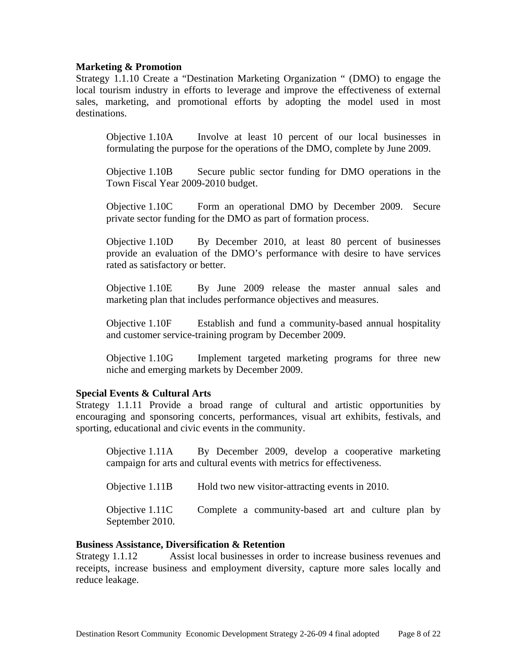## **Marketing & Promotion**

Strategy 1.1.10 Create a "Destination Marketing Organization " (DMO) to engage the local tourism industry in efforts to leverage and improve the effectiveness of external sales, marketing, and promotional efforts by adopting the model used in most destinations.

Objective 1.10A Involve at least 10 percent of our local businesses in formulating the purpose for the operations of the DMO, complete by June 2009.

Objective 1.10B Secure public sector funding for DMO operations in the Town Fiscal Year 2009-2010 budget.

Objective 1.10C Form an operational DMO by December 2009. Secure private sector funding for the DMO as part of formation process.

Objective 1.10D By December 2010, at least 80 percent of businesses provide an evaluation of the DMO's performance with desire to have services rated as satisfactory or better.

Objective 1.10E By June 2009 release the master annual sales and marketing plan that includes performance objectives and measures.

Objective 1.10F Establish and fund a community-based annual hospitality and customer service-training program by December 2009.

Objective 1.10G Implement targeted marketing programs for three new niche and emerging markets by December 2009.

### **Special Events & Cultural Arts**

Strategy 1.1.11 Provide a broad range of cultural and artistic opportunities by encouraging and sponsoring concerts, performances, visual art exhibits, festivals, and sporting, educational and civic events in the community.

Objective 1.11A By December 2009, develop a cooperative marketing campaign for arts and cultural events with metrics for effectiveness.

Objective 1.11B Hold two new visitor-attracting events in 2010. Objective 1.11C Complete a community-based art and culture plan by September 2010.

#### **Business Assistance, Diversification & Retention**

Strategy 1.1.12 Assist local businesses in order to increase business revenues and receipts, increase business and employment diversity, capture more sales locally and reduce leakage.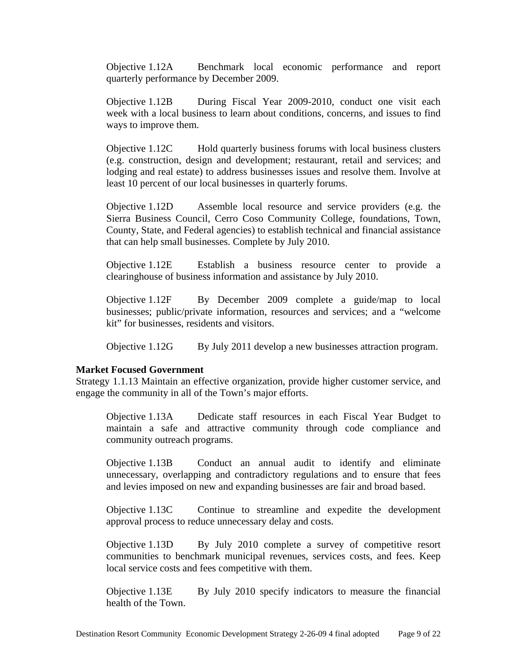Objective 1.12A Benchmark local economic performance and report quarterly performance by December 2009.

Objective 1.12B During Fiscal Year 2009-2010, conduct one visit each week with a local business to learn about conditions, concerns, and issues to find ways to improve them.

Objective 1.12C Hold quarterly business forums with local business clusters (e.g. construction, design and development; restaurant, retail and services; and lodging and real estate) to address businesses issues and resolve them. Involve at least 10 percent of our local businesses in quarterly forums.

Objective 1.12D Assemble local resource and service providers (e.g. the Sierra Business Council, Cerro Coso Community College, foundations, Town, County, State, and Federal agencies) to establish technical and financial assistance that can help small businesses. Complete by July 2010.

Objective 1.12E Establish a business resource center to provide a clearinghouse of business information and assistance by July 2010.

Objective 1.12F By December 2009 complete a guide/map to local businesses; public/private information, resources and services; and a "welcome kit" for businesses, residents and visitors.

Objective 1.12G By July 2011 develop a new businesses attraction program.

#### **Market Focused Government**

Strategy 1.1.13 Maintain an effective organization, provide higher customer service, and engage the community in all of the Town's major efforts.

Objective 1.13A Dedicate staff resources in each Fiscal Year Budget to maintain a safe and attractive community through code compliance and community outreach programs.

Objective 1.13B Conduct an annual audit to identify and eliminate unnecessary, overlapping and contradictory regulations and to ensure that fees and levies imposed on new and expanding businesses are fair and broad based.

Objective 1.13C Continue to streamline and expedite the development approval process to reduce unnecessary delay and costs.

Objective 1.13D By July 2010 complete a survey of competitive resort communities to benchmark municipal revenues, services costs, and fees. Keep local service costs and fees competitive with them.

Objective 1.13E By July 2010 specify indicators to measure the financial health of the Town.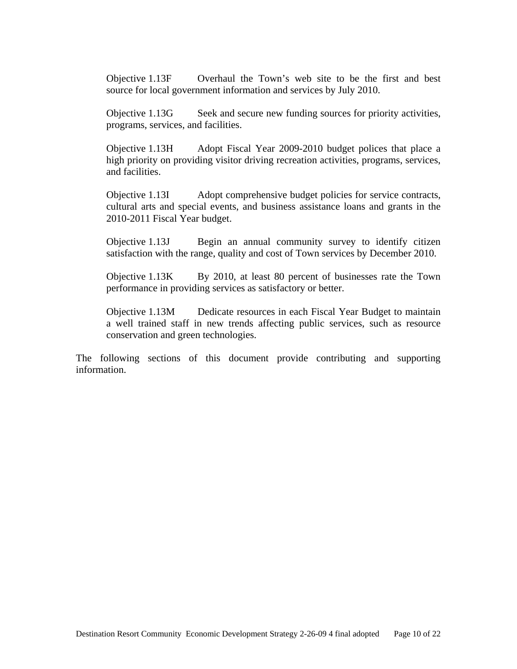Objective 1.13F Overhaul the Town's web site to be the first and best source for local government information and services by July 2010.

Objective 1.13G Seek and secure new funding sources for priority activities, programs, services, and facilities.

Objective 1.13H Adopt Fiscal Year 2009-2010 budget polices that place a high priority on providing visitor driving recreation activities, programs, services, and facilities.

Objective 1.13I Adopt comprehensive budget policies for service contracts, cultural arts and special events, and business assistance loans and grants in the 2010-2011 Fiscal Year budget.

Objective 1.13J Begin an annual community survey to identify citizen satisfaction with the range, quality and cost of Town services by December 2010.

Objective 1.13K By 2010, at least 80 percent of businesses rate the Town performance in providing services as satisfactory or better.

Objective 1.13M Dedicate resources in each Fiscal Year Budget to maintain a well trained staff in new trends affecting public services, such as resource conservation and green technologies.

The following sections of this document provide contributing and supporting information.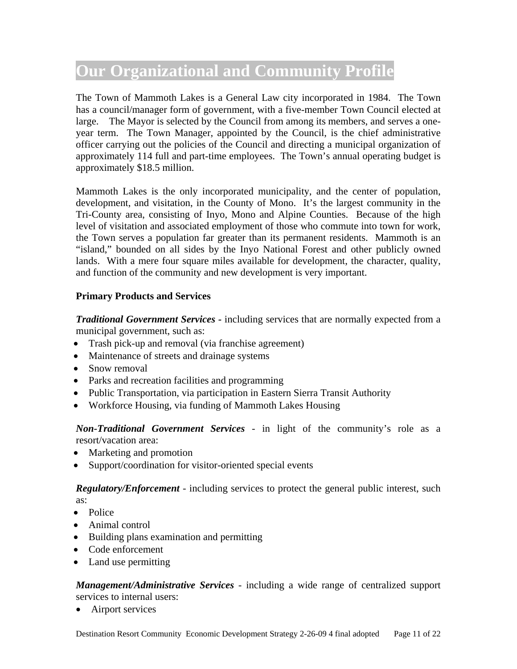# **Our Organizational and Community Profile**

The Town of Mammoth Lakes is a General Law city incorporated in 1984. The Town has a council/manager form of government, with a five-member Town Council elected at large. The Mayor is selected by the Council from among its members, and serves a oneyear term. The Town Manager, appointed by the Council, is the chief administrative officer carrying out the policies of the Council and directing a municipal organization of approximately 114 full and part-time employees. The Town's annual operating budget is approximately \$18.5 million.

Mammoth Lakes is the only incorporated municipality, and the center of population, development, and visitation, in the County of Mono. It's the largest community in the Tri-County area, consisting of Inyo, Mono and Alpine Counties. Because of the high level of visitation and associated employment of those who commute into town for work, the Town serves a population far greater than its permanent residents. Mammoth is an "island," bounded on all sides by the Inyo National Forest and other publicly owned lands. With a mere four square miles available for development, the character, quality, and function of the community and new development is very important.

## **Primary Products and Services**

*Traditional Government Services -* including services that are normally expected from a municipal government, such as:

- Trash pick-up and removal (via franchise agreement)
- Maintenance of streets and drainage systems
- Snow removal
- Parks and recreation facilities and programming
- Public Transportation, via participation in Eastern Sierra Transit Authority
- Workforce Housing, via funding of Mammoth Lakes Housing

*Non-Traditional Government Services* - in light of the community's role as a resort/vacation area:

- Marketing and promotion
- Support/coordination for visitor-oriented special events

*Regulatory/Enforcement* - including services to protect the general public interest, such

- as:
- Police
- Animal control
- Building plans examination and permitting
- Code enforcement
- Land use permitting

*Management/Administrative Services* - including a wide range of centralized support services to internal users:

• Airport services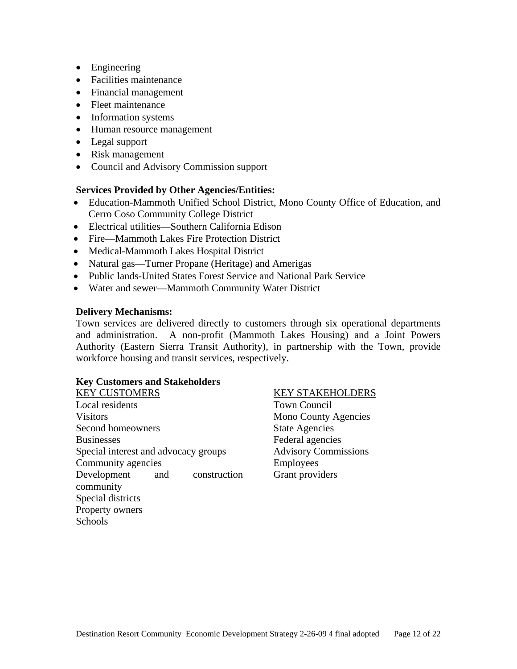- Engineering
- Facilities maintenance
- Financial management
- Fleet maintenance
- Information systems
- Human resource management
- Legal support
- Risk management
- Council and Advisory Commission support

## **Services Provided by Other Agencies/Entities:**

- Education-Mammoth Unified School District, Mono County Office of Education, and Cerro Coso Community College District
- Electrical utilities—Southern California Edison
- Fire—Mammoth Lakes Fire Protection District
- Medical-Mammoth Lakes Hospital District
- Natural gas—Turner Propane (Heritage) and Amerigas
- Public lands-United States Forest Service and National Park Service
- Water and sewer—Mammoth Community Water District

## **Delivery Mechanisms:**

Town services are delivered directly to customers through six operational departments and administration. A non-profit (Mammoth Lakes Housing) and a Joint Powers Authority (Eastern Sierra Transit Authority), in partnership with the Town, provide workforce housing and transit services, respectively.

## **Key Customers and Stakeholders**

| <b>KEY CUSTOMERS</b>                 |     |              |
|--------------------------------------|-----|--------------|
| Local residents                      |     |              |
| <b>Visitors</b>                      |     |              |
| Second homeowners                    |     |              |
| <b>Businesses</b>                    |     |              |
| Special interest and advocacy groups |     |              |
| Community agencies                   |     |              |
| Development                          | and | construction |
| community                            |     |              |
| Special districts                    |     |              |
| Property owners                      |     |              |
| Schools                              |     |              |

## KEY STAKEHOLDERS

Town Council Mono County Agencies State Agencies Federal agencies Advisory Commissions Employees Grant providers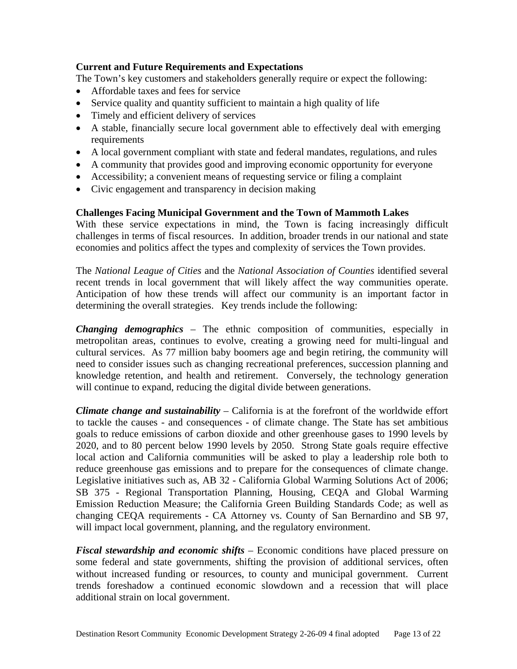## **Current and Future Requirements and Expectations**

The Town's key customers and stakeholders generally require or expect the following:

- Affordable taxes and fees for service
- Service quality and quantity sufficient to maintain a high quality of life
- Timely and efficient delivery of services
- A stable, financially secure local government able to effectively deal with emerging requirements
- A local government compliant with state and federal mandates, regulations, and rules
- A community that provides good and improving economic opportunity for everyone
- Accessibility; a convenient means of requesting service or filing a complaint
- Civic engagement and transparency in decision making

## **Challenges Facing Municipal Government and the Town of Mammoth Lakes**

With these service expectations in mind, the Town is facing increasingly difficult challenges in terms of fiscal resources. In addition, broader trends in our national and state economies and politics affect the types and complexity of services the Town provides.

The *National League of Cities* and the *National Association of Counties* identified several recent trends in local government that will likely affect the way communities operate. Anticipation of how these trends will affect our community is an important factor in determining the overall strategies. Key trends include the following:

*Changing demographics* – The ethnic composition of communities, especially in metropolitan areas, continues to evolve, creating a growing need for multi-lingual and cultural services. As 77 million baby boomers age and begin retiring, the community will need to consider issues such as changing recreational preferences, succession planning and knowledge retention, and health and retirement. Conversely, the technology generation will continue to expand, reducing the digital divide between generations.

*Climate change and sustainability* – California is at the forefront of the worldwide effort to tackle the causes - and consequences - of climate change. The State has set ambitious goals to reduce emissions of carbon dioxide and other greenhouse gases to 1990 levels by 2020, and to 80 percent below 1990 levels by 2050. Strong State goals require effective local action and California communities will be asked to play a leadership role both to reduce greenhouse gas emissions and to prepare for the consequences of climate change. Legislative initiatives such as, AB 32 - California Global Warming Solutions Act of 2006; SB 375 - Regional Transportation Planning, Housing, CEQA and Global Warming Emission Reduction Measure; the California Green Building Standards Code; as well as changing CEQA requirements - CA Attorney vs. County of San Bernardino and SB 97, will impact local government, planning, and the regulatory environment.

*Fiscal stewardship and economic shifts* – Economic conditions have placed pressure on some federal and state governments, shifting the provision of additional services, often without increased funding or resources, to county and municipal government. Current trends foreshadow a continued economic slowdown and a recession that will place additional strain on local government.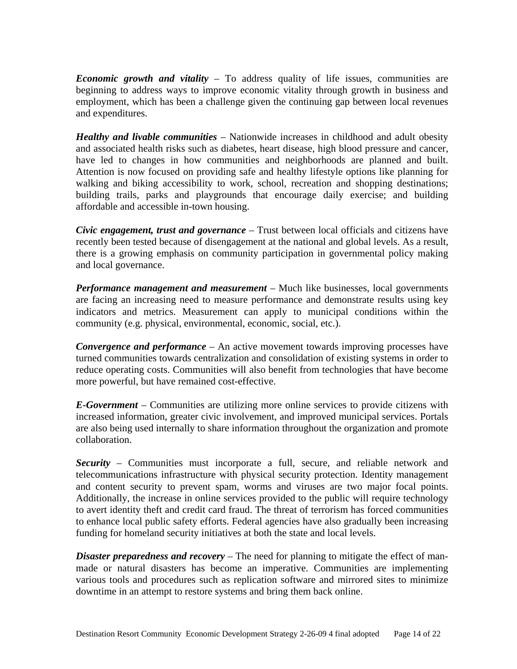*Economic growth and vitality* – To address quality of life issues, communities are beginning to address ways to improve economic vitality through growth in business and employment, which has been a challenge given the continuing gap between local revenues and expenditures.

*Healthy and livable communities* – Nationwide increases in childhood and adult obesity and associated health risks such as diabetes, heart disease, high blood pressure and cancer, have led to changes in how communities and neighborhoods are planned and built. Attention is now focused on providing safe and healthy lifestyle options like planning for walking and biking accessibility to work, school, recreation and shopping destinations; building trails, parks and playgrounds that encourage daily exercise; and building affordable and accessible in-town housing.

*Civic engagement, trust and governance* – Trust between local officials and citizens have recently been tested because of disengagement at the national and global levels. As a result, there is a growing emphasis on community participation in governmental policy making and local governance.

*Performance management and measurement* – Much like businesses, local governments are facing an increasing need to measure performance and demonstrate results using key indicators and metrics. Measurement can apply to municipal conditions within the community (e.g. physical, environmental, economic, social, etc.).

*Convergence and performance* – An active movement towards improving processes have turned communities towards centralization and consolidation of existing systems in order to reduce operating costs. Communities will also benefit from technologies that have become more powerful, but have remained cost-effective.

*E-Government* – Communities are utilizing more online services to provide citizens with increased information, greater civic involvement, and improved municipal services. Portals are also being used internally to share information throughout the organization and promote collaboration.

*Security* – Communities must incorporate a full, secure, and reliable network and telecommunications infrastructure with physical security protection. Identity management and content security to prevent spam, worms and viruses are two major focal points. Additionally, the increase in online services provided to the public will require technology to avert identity theft and credit card fraud. The threat of terrorism has forced communities to enhance local public safety efforts. Federal agencies have also gradually been increasing funding for homeland security initiatives at both the state and local levels.

*Disaster preparedness and recovery* – The need for planning to mitigate the effect of manmade or natural disasters has become an imperative. Communities are implementing various tools and procedures such as replication software and mirrored sites to minimize downtime in an attempt to restore systems and bring them back online.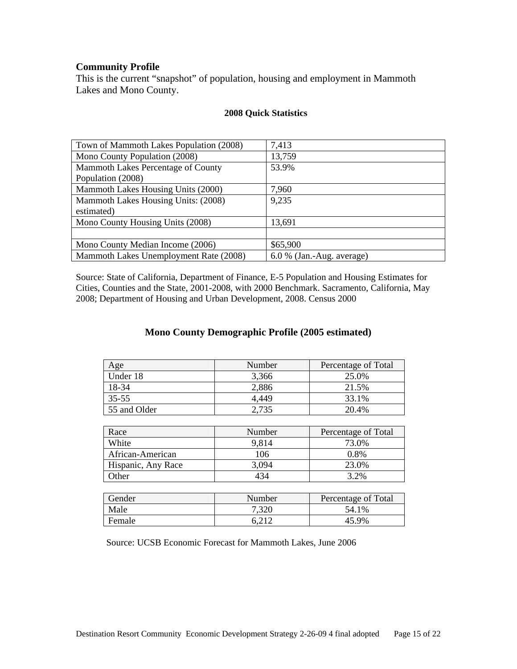## **Community Profile**

This is the current "snapshot" of population, housing and employment in Mammoth Lakes and Mono County.

| Town of Mammoth Lakes Population (2008) | 7,413                       |
|-----------------------------------------|-----------------------------|
| Mono County Population (2008)           | 13,759                      |
| Mammoth Lakes Percentage of County      | 53.9%                       |
| Population (2008)                       |                             |
| Mammoth Lakes Housing Units (2000)      | 7,960                       |
| Mammoth Lakes Housing Units: (2008)     | 9,235                       |
| estimated)                              |                             |
| Mono County Housing Units (2008)        | 13,691                      |
|                                         |                             |
| Mono County Median Income (2006)        | \$65,900                    |
| Mammoth Lakes Unemployment Rate (2008)  | $6.0\%$ (Jan.-Aug. average) |

## **2008 Quick Statistics**

Source: State of California, Department of Finance, E-5 Population and Housing Estimates for Cities, Counties and the State, 2001-2008, with 2000 Benchmark. Sacramento, California, May 2008; Department of Housing and Urban Development, 2008. Census 2000

## **Mono County Demographic Profile (2005 estimated)**

| Age          | Number | Percentage of Total |
|--------------|--------|---------------------|
| Under 18     | 3,366  | 25.0%               |
| 18-34        | 2,886  | 21.5%               |
| $35 - 55$    | 4.449  | 33.1%               |
| 55 and Older | 2,735  | 20.4%               |

| Race               | Number | Percentage of Total |
|--------------------|--------|---------------------|
| White              | 9,814  | 73.0%               |
| African-American   | 106    | 0.8%                |
| Hispanic, Any Race | 3,094  | 23.0%               |
| )ther              |        | 3.2%                |

| Gender | Number | Percentage of Total |
|--------|--------|---------------------|
| Male   | 7,320  | 54.1%               |
| Female |        | 45 9%               |

Source: UCSB Economic Forecast for Mammoth Lakes, June 2006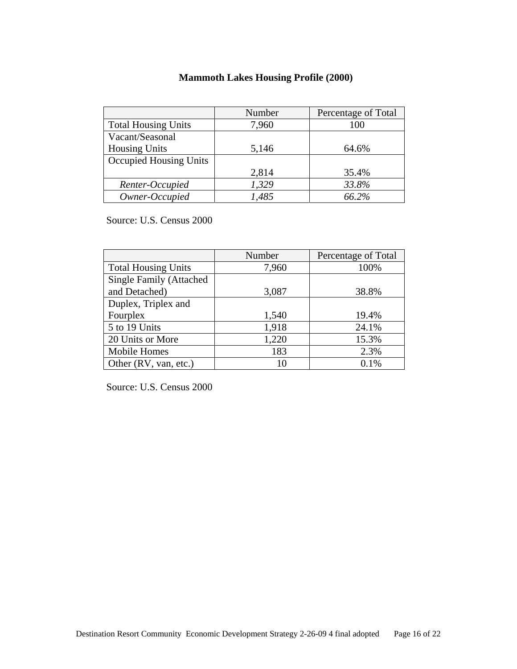## **Mammoth Lakes Housing Profile (2000)**

|                            | Number | Percentage of Total |
|----------------------------|--------|---------------------|
| <b>Total Housing Units</b> | 7,960  | 100                 |
| Vacant/Seasonal            |        |                     |
| <b>Housing Units</b>       | 5,146  | 64.6%               |
| Occupied Housing Units     |        |                     |
|                            | 2,814  | 35.4%               |
| Renter-Occupied            | 1,329  | 33.8%               |
| Owner-Occupied             | 1,485  | 66.2%               |

Source: U.S. Census 2000

|                                | Number | Percentage of Total |
|--------------------------------|--------|---------------------|
| <b>Total Housing Units</b>     | 7,960  | 100%                |
| <b>Single Family (Attached</b> |        |                     |
| and Detached)                  | 3,087  | 38.8%               |
| Duplex, Triplex and            |        |                     |
| Fourplex                       | 1,540  | 19.4%               |
| 5 to 19 Units                  | 1,918  | 24.1%               |
| 20 Units or More               | 1,220  | 15.3%               |
| <b>Mobile Homes</b>            | 183    | 2.3%                |
| Other (RV, van, etc.)          | 10     | 0.1%                |

Source: U.S. Census 2000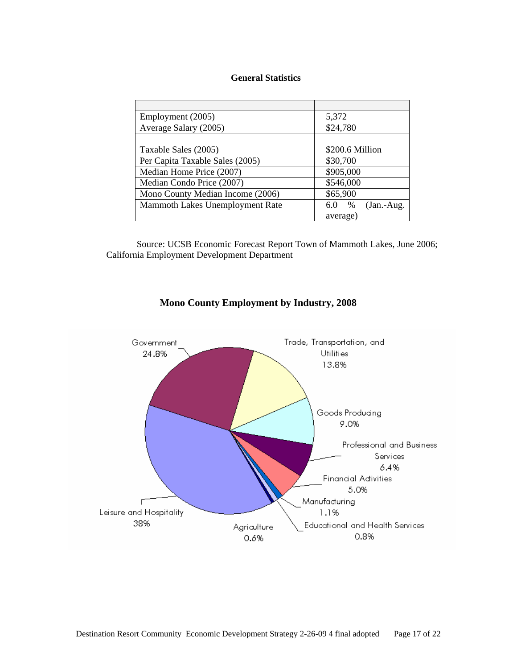#### **General Statistics**

| Employment (2005)                | 5,372                       |
|----------------------------------|-----------------------------|
| Average Salary (2005)            | \$24,780                    |
|                                  |                             |
| Taxable Sales (2005)             | \$200.6 Million             |
| Per Capita Taxable Sales (2005)  | \$30,700                    |
| Median Home Price (2007)         | \$905,000                   |
| Median Condo Price (2007)        | \$546,000                   |
| Mono County Median Income (2006) | \$65,900                    |
| Mammoth Lakes Unemployment Rate  | $(Jan.-Aug.$<br>$\%$<br>6.0 |
|                                  | average)                    |

Source: UCSB Economic Forecast Report Town of Mammoth Lakes, June 2006; California Employment Development Department



## **Mono County Employment by Industry, 2008**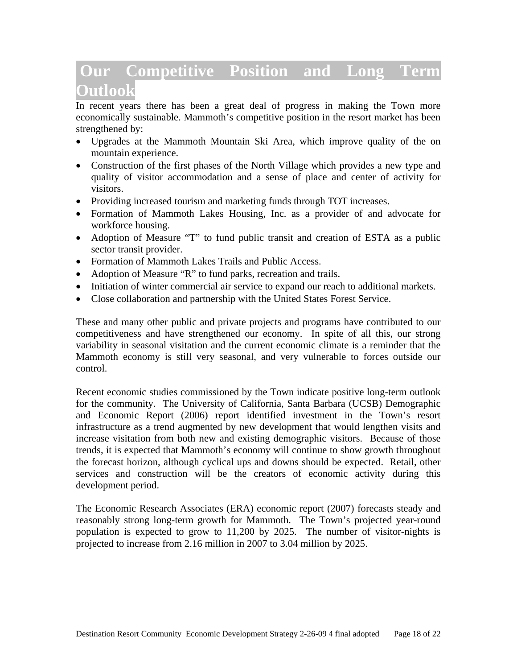# **Our Competitive Position and Long Term Outlook**

In recent years there has been a great deal of progress in making the Town more economically sustainable. Mammoth's competitive position in the resort market has been strengthened by:

- Upgrades at the Mammoth Mountain Ski Area, which improve quality of the on mountain experience.
- Construction of the first phases of the North Village which provides a new type and quality of visitor accommodation and a sense of place and center of activity for visitors.
- Providing increased tourism and marketing funds through TOT increases.
- Formation of Mammoth Lakes Housing, Inc. as a provider of and advocate for workforce housing.
- Adoption of Measure "T" to fund public transit and creation of ESTA as a public sector transit provider.
- Formation of Mammoth Lakes Trails and Public Access.
- Adoption of Measure "R" to fund parks, recreation and trails.
- Initiation of winter commercial air service to expand our reach to additional markets.
- Close collaboration and partnership with the United States Forest Service.

These and many other public and private projects and programs have contributed to our competitiveness and have strengthened our economy. In spite of all this, our strong variability in seasonal visitation and the current economic climate is a reminder that the Mammoth economy is still very seasonal, and very vulnerable to forces outside our control.

Recent economic studies commissioned by the Town indicate positive long-term outlook for the community. The University of California, Santa Barbara (UCSB) Demographic and Economic Report (2006) report identified investment in the Town's resort infrastructure as a trend augmented by new development that would lengthen visits and increase visitation from both new and existing demographic visitors. Because of those trends, it is expected that Mammoth's economy will continue to show growth throughout the forecast horizon, although cyclical ups and downs should be expected. Retail, other services and construction will be the creators of economic activity during this development period.

The Economic Research Associates (ERA) economic report (2007) forecasts steady and reasonably strong long-term growth for Mammoth. The Town's projected year-round population is expected to grow to 11,200 by 2025. The number of visitor-nights is projected to increase from 2.16 million in 2007 to 3.04 million by 2025.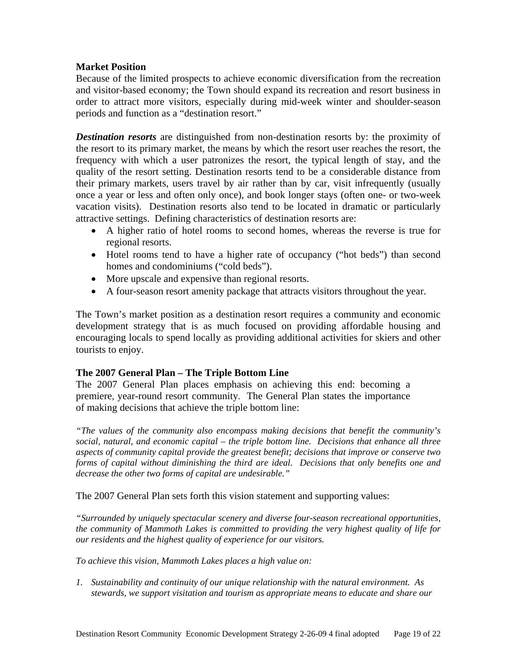## **Market Position**

Because of the limited prospects to achieve economic diversification from the recreation and visitor-based economy; the Town should expand its recreation and resort business in order to attract more visitors, especially during mid-week winter and shoulder-season periods and function as a "destination resort."

*Destination resorts* are distinguished from non-destination resorts by: the proximity of the resort to its primary market, the means by which the resort user reaches the resort, the frequency with which a user patronizes the resort, the typical length of stay, and the quality of the resort setting. Destination resorts tend to be a considerable distance from their primary markets, users travel by air rather than by car, visit infrequently (usually once a year or less and often only once), and book longer stays (often one- or two-week vacation visits). Destination resorts also tend to be located in dramatic or particularly attractive settings. Defining characteristics of destination resorts are:

- A higher ratio of hotel rooms to second homes, whereas the reverse is true for regional resorts.
- Hotel rooms tend to have a higher rate of occupancy ("hot beds") than second homes and condominiums ("cold beds").
- More upscale and expensive than regional resorts.
- A four-season resort amenity package that attracts visitors throughout the year.

The Town's market position as a destination resort requires a community and economic development strategy that is as much focused on providing affordable housing and encouraging locals to spend locally as providing additional activities for skiers and other tourists to enjoy.

## **The 2007 General Plan – The Triple Bottom Line**

The 2007 General Plan places emphasis on achieving this end: becoming a premiere, year-round resort community. The General Plan states the importance of making decisions that achieve the triple bottom line:

*"The values of the community also encompass making decisions that benefit the community's social, natural, and economic capital – the triple bottom line. Decisions that enhance all three aspects of community capital provide the greatest benefit; decisions that improve or conserve two forms of capital without diminishing the third are ideal. Decisions that only benefits one and decrease the other two forms of capital are undesirable."* 

The 2007 General Plan sets forth this vision statement and supporting values:

*"Surrounded by uniquely spectacular scenery and diverse four-season recreational opportunities, the community of Mammoth Lakes is committed to providing the very highest quality of life for our residents and the highest quality of experience for our visitors.* 

*To achieve this vision, Mammoth Lakes places a high value on:* 

*1. Sustainability and continuity of our unique relationship with the natural environment. As stewards, we support visitation and tourism as appropriate means to educate and share our*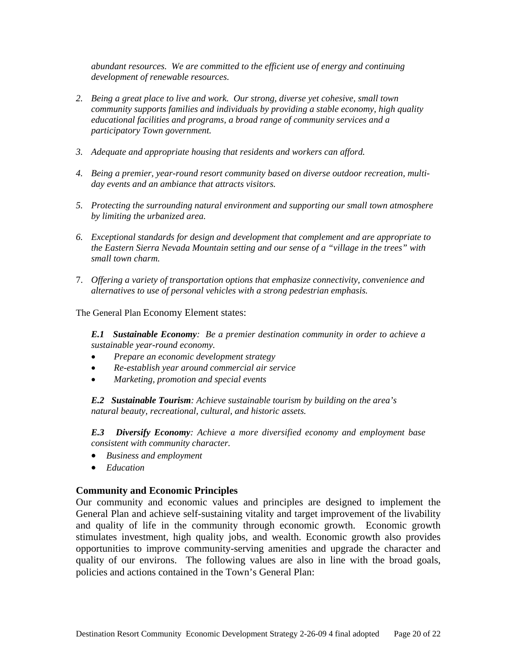*abundant resources. We are committed to the efficient use of energy and continuing development of renewable resources.* 

- *2. Being a great place to live and work. Our strong, diverse yet cohesive, small town community supports families and individuals by providing a stable economy, high quality educational facilities and programs, a broad range of community services and a participatory Town government.*
- *3. Adequate and appropriate housing that residents and workers can afford.*
- *4. Being a premier, year-round resort community based on diverse outdoor recreation, multiday events and an ambiance that attracts visitors.*
- *5. Protecting the surrounding natural environment and supporting our small town atmosphere by limiting the urbanized area.*
- *6. Exceptional standards for design and development that complement and are appropriate to the Eastern Sierra Nevada Mountain setting and our sense of a "village in the trees" with small town charm.*
- 7. *Offering a variety of transportation options that emphasize connectivity, convenience and alternatives to use of personal vehicles with a strong pedestrian emphasis.*

The General Plan Economy Element states:

*E.1 Sustainable Economy: Be a premier destination community in order to achieve a sustainable year-round economy.* 

- *Prepare an economic development strategy*
- *Re-establish year around commercial air service*
- *Marketing, promotion and special events*

*E.2 Sustainable Tourism: Achieve sustainable tourism by building on the area's natural beauty, recreational, cultural, and historic assets.*

*E.3 Diversify Economy: Achieve a more diversified economy and employment base consistent with community character.* 

- *Business and employment*
- *Education*

## **Community and Economic Principles**

Our community and economic values and principles are designed to implement the General Plan and achieve self-sustaining vitality and target improvement of the livability and quality of life in the community through economic growth. Economic growth stimulates investment, high quality jobs, and wealth. Economic growth also provides opportunities to improve community-serving amenities and upgrade the character and quality of our environs. The following values are also in line with the broad goals, policies and actions contained in the Town's General Plan: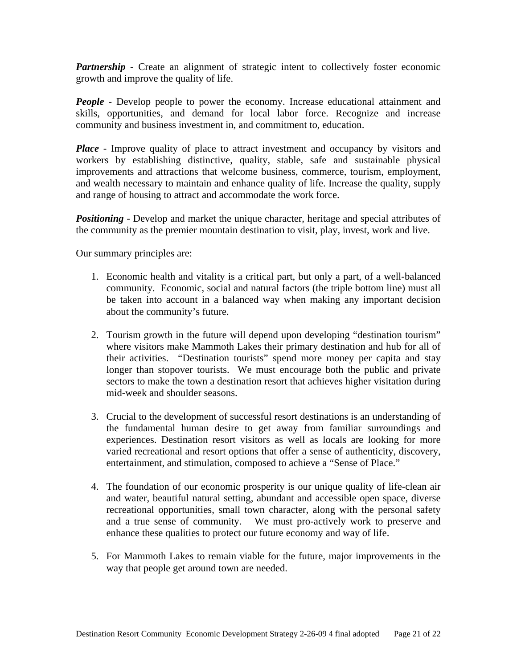*Partnership* - Create an alignment of strategic intent to collectively foster economic growth and improve the quality of life.

*People* - Develop people to power the economy. Increase educational attainment and skills, opportunities, and demand for local labor force. Recognize and increase community and business investment in, and commitment to, education.

*Place* - Improve quality of place to attract investment and occupancy by visitors and workers by establishing distinctive, quality, stable, safe and sustainable physical improvements and attractions that welcome business, commerce, tourism, employment, and wealth necessary to maintain and enhance quality of life. Increase the quality, supply and range of housing to attract and accommodate the work force.

*Positioning* - Develop and market the unique character, heritage and special attributes of the community as the premier mountain destination to visit, play, invest, work and live.

Our summary principles are:

- 1. Economic health and vitality is a critical part, but only a part, of a well-balanced community. Economic, social and natural factors (the triple bottom line) must all be taken into account in a balanced way when making any important decision about the community's future.
- 2. Tourism growth in the future will depend upon developing "destination tourism" where visitors make Mammoth Lakes their primary destination and hub for all of their activities. "Destination tourists" spend more money per capita and stay longer than stopover tourists. We must encourage both the public and private sectors to make the town a destination resort that achieves higher visitation during mid-week and shoulder seasons.
- 3. Crucial to the development of successful resort destinations is an understanding of the fundamental human desire to get away from familiar surroundings and experiences. Destination resort visitors as well as locals are looking for more varied recreational and resort options that offer a sense of authenticity, discovery, entertainment, and stimulation, composed to achieve a "Sense of Place."
- 4. The foundation of our economic prosperity is our unique quality of life-clean air and water, beautiful natural setting, abundant and accessible open space, diverse recreational opportunities, small town character, along with the personal safety and a true sense of community. We must pro-actively work to preserve and enhance these qualities to protect our future economy and way of life.
- 5. For Mammoth Lakes to remain viable for the future, major improvements in the way that people get around town are needed.